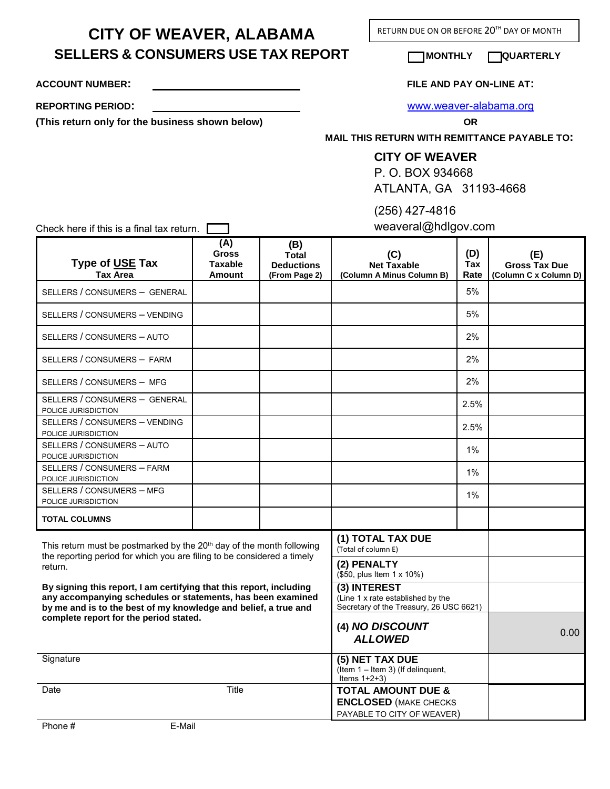**CITY OF WEAVER, ALABAMA SELLERS & CONSUMERS USE TAX REPORT MONTHLY QUARTERLY**

RETURN DUE ON OR BEFORE 20<sup>TH</sup> DAY OF MONTH

**ACCOUNT NUMBER: FILE AND PAY ON-LINE AT:** 

**(This return only for the business shown below) OR**

**REPORTING PERIOD:** [www.weaver-alabama.org](http://www.weaver-alabama.org/)

**MAIL THIS RETURN WITH REMITTANCE PAYABLE TO:** 

## **CITY OF WEAVER**

P. O. BOX 934668 ATLANTA, GA 31193-4668

(256) 427-4816

weaveral@hdlgov.com

Check here if this is a final tax return.  $\Box$ 

| Type of USE Tax<br><b>Tax Area</b>                                                                                                                                                                    | (A)<br><b>Gross</b><br><b>Taxable</b><br><b>Amount</b>                  | (B)<br>Total<br><b>Deductions</b><br>(From Page 2) | (C)<br><b>Net Taxable</b><br>(Column A Minus Column B)                                       | (D)<br>Tax<br>Rate | (E)<br><b>Gross Tax Due</b><br>(Column C x Column D) |
|-------------------------------------------------------------------------------------------------------------------------------------------------------------------------------------------------------|-------------------------------------------------------------------------|----------------------------------------------------|----------------------------------------------------------------------------------------------|--------------------|------------------------------------------------------|
| SELLERS / CONSUMERS - GENERAL                                                                                                                                                                         |                                                                         |                                                    |                                                                                              | 5%                 |                                                      |
| SELLERS / CONSUMERS - VENDING                                                                                                                                                                         |                                                                         |                                                    |                                                                                              | 5%                 |                                                      |
| SELLERS / CONSUMERS - AUTO                                                                                                                                                                            |                                                                         |                                                    |                                                                                              | 2%                 |                                                      |
| SELLERS / CONSUMERS - FARM                                                                                                                                                                            |                                                                         |                                                    |                                                                                              | 2%                 |                                                      |
| SELLERS / CONSUMERS - MFG                                                                                                                                                                             |                                                                         |                                                    |                                                                                              | 2%                 |                                                      |
| SELLERS / CONSUMERS - GENERAL<br>POLICE JURISDICTION                                                                                                                                                  |                                                                         |                                                    |                                                                                              | 2.5%               |                                                      |
| SELLERS / CONSUMERS - VENDING<br>POLICE JURISDICTION                                                                                                                                                  |                                                                         |                                                    |                                                                                              | 2.5%               |                                                      |
| SELLERS / CONSUMERS - AUTO<br>POLICE JURISDICTION                                                                                                                                                     |                                                                         |                                                    |                                                                                              | $1\%$              |                                                      |
| SELLERS / CONSUMERS - FARM<br>POLICE JURISDICTION                                                                                                                                                     |                                                                         |                                                    |                                                                                              | $1\%$              |                                                      |
| SELLERS / CONSUMERS - MFG<br>POLICE JURISDICTION                                                                                                                                                      |                                                                         |                                                    |                                                                                              | 1%                 |                                                      |
| <b>TOTAL COLUMNS</b>                                                                                                                                                                                  |                                                                         |                                                    |                                                                                              |                    |                                                      |
| This return must be postmarked by the 20 <sup>th</sup> day of the month following                                                                                                                     |                                                                         |                                                    | (1) TOTAL TAX DUE<br>(Total of column E)                                                     |                    |                                                      |
| return.                                                                                                                                                                                               | the reporting period for which you are filing to be considered a timely |                                                    | (2) PENALTY<br>(\$50, plus Item 1 x 10%)                                                     |                    |                                                      |
| By signing this report, I am certifying that this report, including<br>any accompanying schedules or statements, has been examined<br>by me and is to the best of my knowledge and belief, a true and |                                                                         |                                                    | (3) INTEREST<br>(Line 1 x rate established by the<br>Secretary of the Treasury, 26 USC 6621) |                    |                                                      |
| complete report for the period stated.                                                                                                                                                                | (4) NO DISCOUNT<br><b>ALLOWED</b>                                       |                                                    | 0.00                                                                                         |                    |                                                      |
| Signature                                                                                                                                                                                             |                                                                         |                                                    | (5) NET TAX DUE<br>(Item 1 - Item 3) (If delinquent,<br>Items $1+2+3$ )                      |                    |                                                      |
| Date                                                                                                                                                                                                  | Title                                                                   |                                                    | <b>TOTAL AMOUNT DUE &amp;</b><br><b>ENCLOSED (MAKE CHECKS</b><br>PAYABLE TO CITY OF WEAVER)  |                    |                                                      |
| Phone #<br>F-Mail                                                                                                                                                                                     |                                                                         |                                                    |                                                                                              |                    |                                                      |